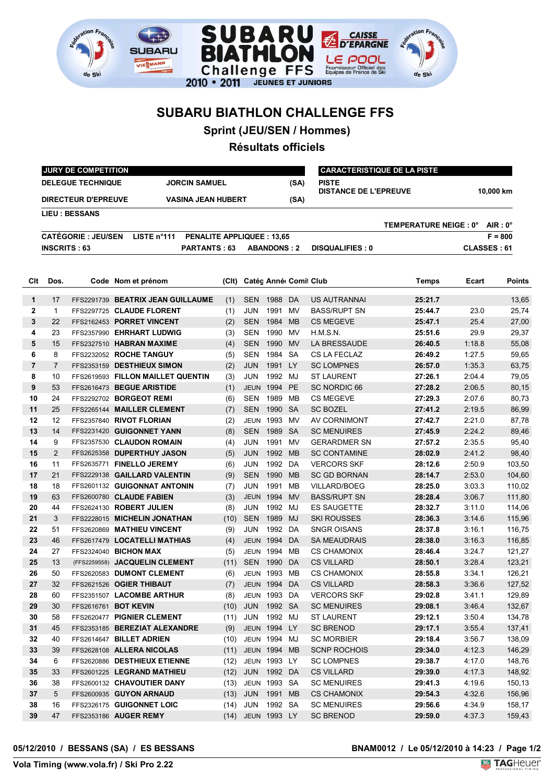

## **SUBARU BIATHLON CHALLENGE FFS**

**Sprint (JEU/SEN / Hommes)**

## **Résultats officiels**

|                | <b>JURY DE COMPETITION</b>                                                       |                            |                                   |                                  |       |                     |                    |                       | <b>CARACTERISTIQUE DE LA PISTE</b>           |              |                  |                    |  |
|----------------|----------------------------------------------------------------------------------|----------------------------|-----------------------------------|----------------------------------|-------|---------------------|--------------------|-----------------------|----------------------------------------------|--------------|------------------|--------------------|--|
|                | <b>DELEGUE TECHNIQUE</b><br><b>JORCIN SAMUEL</b>                                 |                            |                                   |                                  |       |                     |                    | (SA)                  | <b>PISTE</b><br><b>DISTANCE DE L'EPREUVE</b> |              | 10.000 km        |                    |  |
|                | <b>DIRECTEUR D'EPREUVE</b><br><b>VASINA JEAN HUBERT</b><br><b>LIEU : BESSANS</b> |                            |                                   |                                  |       | (SA)                |                    |                       |                                              |              |                  |                    |  |
|                |                                                                                  |                            |                                   |                                  |       |                     |                    |                       | TEMPERATURE NEIGE : 0°                       |              | $AIR: 0^{\circ}$ |                    |  |
|                |                                                                                  | <b>CATÉGORIE : JEU/SEN</b> | LISTE n°111                       | <b>PENALITE APPLIQUEE: 13,65</b> |       |                     |                    |                       |                                              |              |                  | $F = 800$          |  |
|                | <b>INSCRITS : 63</b>                                                             |                            |                                   | PARTANTS: 63                     |       |                     |                    |                       |                                              |              |                  | <b>CLASSES: 61</b> |  |
|                |                                                                                  |                            |                                   |                                  |       |                     | <b>ABANDONS: 2</b> |                       | <b>DISQUALIFIES: 0</b>                       |              |                  |                    |  |
|                |                                                                                  |                            |                                   |                                  |       |                     |                    |                       |                                              |              |                  |                    |  |
| Clt            | Dos.                                                                             |                            | Code Nom et prénom                |                                  | (CIt) |                     |                    | Catég Anné Comil Club |                                              | <b>Temps</b> | Ecart            | <b>Points</b>      |  |
| 1              | 17                                                                               |                            | FFS2291739 BEATRIX JEAN GUILLAUME |                                  | (1)   | <b>SEN</b>          | 1988               | DA                    | US AUTRANNAI                                 | 25:21.7      |                  | 13,65              |  |
| 2              | $\mathbf{1}$                                                                     |                            | FFS2297725 CLAUDE FLORENT         |                                  | (1)   | JUN                 | 1991 MV            |                       | <b>BASS/RUPT SN</b>                          | 25:44.7      | 23.0             | 25,74              |  |
| 3              | 22                                                                               |                            | FFS2162453 PORRET VINCENT         |                                  | (2)   | <b>SEN</b>          | 1984 MB            |                       | <b>CS MEGEVE</b>                             | 25:47.1      | 25.4             | 27,00              |  |
| 4              | 23                                                                               |                            | FFS2357990 EHRHART LUDWIG         |                                  | (3)   | SEN                 | 1990 MV            |                       | H.M.S.N.                                     | 25:51.6      | 29.9             | 29,37              |  |
| 5              | 15                                                                               |                            | FFS2327510 HABRAN MAXIME          |                                  | (4)   | <b>SEN</b>          | 1990 MV            |                       | LA BRESSAUDE                                 | 26:40.5      | 1:18.8           | 55,08              |  |
| 6              | 8                                                                                |                            | FFS2232052 ROCHE TANGUY           |                                  | (5)   | SEN                 | 1984 SA            |                       | CS LA FECLAZ                                 | 26:49.2      | 1:27.5           | 59,65              |  |
| $\overline{7}$ | $\overline{7}$                                                                   |                            | FFS2353159 DESTHIEUX SIMON        |                                  | (2)   | <b>JUN</b>          | 1991 LY            |                       | <b>SC LOMPNES</b>                            | 26:57.0      | 1:35.3           | 63,75              |  |
| 8              | 10                                                                               |                            | FFS2619593 FILLON MAILLET QUENTIN |                                  | (3)   | JUN                 | 1992 MJ            |                       | <b>ST LAURENT</b>                            | 27:26.1      | 2:04.4           | 79,05              |  |
| 9              | 53                                                                               |                            | FFS2616473 BEGUE ARISTIDE         |                                  | (1)   | <b>JEUN</b>         | 1994 PE            |                       | <b>SC NORDIC 66</b>                          | 27:28.2      | 2:06.5           | 80,15              |  |
| 10             | 24                                                                               |                            | FFS2292702 BORGEOT REMI           |                                  | (6)   | <b>SEN</b>          | 1989               | МB                    | <b>CS MEGEVE</b>                             | 27:29.3      | 2:07.6           | 80,73              |  |
| 11             | 25                                                                               |                            | FFS2265144 MAILLER CLEMENT        |                                  | (7)   | <b>SEN</b>          | 1990               | <b>SA</b>             | <b>SC BOZEL</b>                              | 27:41.2      | 2:19.5           | 86,99              |  |
| 12             | 12                                                                               |                            | FFS2357840 RIVOT FLORIAN          |                                  | (2)   | <b>JEUN</b>         | 1993               | MV                    | AV CORNIMONT                                 | 27:42.7      | 2:21.0           | 87,78              |  |
| 13             | 14                                                                               |                            | FFS2231420 GUIGONNET YANN         |                                  | (8)   | <b>SEN</b>          | 1989               | - SA                  | <b>SC MENUIRES</b>                           | 27:45.9      | 2:24.2           | 89,46              |  |
| 14             | 9                                                                                |                            | FFS2357530 CLAUDON ROMAIN         |                                  | (4)   | JUN                 | 1991               | MV                    | <b>GERARDMER SN</b>                          | 27:57.2      | 2:35.5           | 95,40              |  |
| 15             | $\overline{2}$                                                                   |                            | FFS2625358 DUPERTHUY JASON        |                                  | (5)   | <b>JUN</b>          | 1992 MB            |                       | <b>SC CONTAMINE</b>                          | 28:02.9      | 2:41.2           | 98,40              |  |
| 16             | 11                                                                               |                            | FFS2635771 FINELLO JEREMY         |                                  | (6)   | JUN                 | 1992 DA            |                       | <b>VERCORS SKF</b>                           | 28:12.6      | 2:50.9           | 103,50             |  |
| 17             | 21                                                                               |                            | FFS2229138 GAILLARD VALENTIN      |                                  | (9)   | <b>SEN</b>          | 1990               | <b>MB</b>             | <b>SC GD BORNAN</b>                          | 28:14.7      | 2:53.0           | 104,60             |  |
| 18             | 18                                                                               |                            | FFS2601132 GUIGONNAT ANTONIN      |                                  | (7)   | JUN                 | 1991               | <b>MB</b>             | <b>VILLARD/BOEG</b>                          | 28:25.0      | 3:03.3           | 110,02             |  |
| 19             | 63                                                                               |                            | FFS2600780 CLAUDE FABIEN          |                                  | (3)   | <b>JEUN</b>         | 1994               | <b>MV</b>             | <b>BASS/RUPT SN</b>                          | 28:28.4      | 3:06.7           | 111,80             |  |
| 20             | 44                                                                               |                            | FFS2624130 ROBERT JULIEN          |                                  | (8)   | JUN                 | 1992               | MJ                    | ES SAUGETTE                                  | 28:32.7      | 3:11.0           | 114,06             |  |
| 21             | 3                                                                                |                            | FFS2228015 MICHELIN JONATHAN      |                                  | (10)  | <b>SEN</b>          | 1989               | MJ                    | SKI ROUSSES                                  | 28:36.3      | 3:14.6           | 115,96             |  |
| 22             | 51                                                                               |                            | FFS2620869 MATHIEU VINCENT        |                                  | (9)   | JUN                 | 1992               | DA                    | SNGR OISANS                                  | 28:37.8      | 3:16.1           | 116,75             |  |
| 23             | 46                                                                               |                            | FFS2617479 LOCATELLI MATHIAS      |                                  | (4)   | <b>JEUN</b>         | 1994               | DA                    | SA MEAUDRAIS                                 | 28:38.0      | 3:16.3           | 116,85             |  |
| 24             | 27                                                                               |                            | FFS2324040 BICHON MAX             |                                  | (5)   | <b>JEUN</b>         | 1994               | MВ                    | <b>CS CHAMONIX</b>                           | 28:46.4      | 3:24.7           | 121,27             |  |
| 25             | 13                                                                               | (FFS2259558)               | <b>JACQUELIN CLEMENT</b>          |                                  | (11)  | <b>SEN</b>          | 1990               | DA                    | <b>CS VILLARD</b>                            | 28:50.1      | 3:28.4           | 123,21             |  |
| 26             | 50                                                                               |                            | FFS2620583 DUMONT CLEMENT         |                                  | (6)   | <b>JEUN</b>         | 1993               | MВ                    | <b>CS CHAMONIX</b>                           | 28:55.8      | 3:34.1           | 126,21             |  |
| 27             | 32                                                                               |                            | FFS2621526 OGIER THIBAUT          |                                  | (7)   |                     | JEUN 1994 DA       |                       | <b>CS VILLARD</b>                            | 28:58.3      | 3:36.6           | 127,52             |  |
| 28             | 60                                                                               |                            | FFS2351507 LACOMBE ARTHUR         |                                  | (8)   |                     | JEUN 1993 DA       |                       | <b>VERCORS SKF</b>                           | 29:02.8      | 3:41.1           | 129,89             |  |
| 29             | 30                                                                               |                            | FFS2616761 BOT KEVIN              |                                  | (10)  | <b>JUN</b>          | 1992 SA            |                       | <b>SC MENUIRES</b>                           | 29:08.1      | 3:46.4           | 132,67             |  |
| 30             | 58                                                                               |                            | FFS2620477 PIGNIER CLEMENT        |                                  | (11)  | JUN                 | 1992 MJ            |                       | <b>ST LAURENT</b>                            | 29:12.1      | 3:50.4           | 134,78             |  |
| 31             | 45                                                                               |                            | FFS2353185 BEREZIAT ALEXANDRE     |                                  | (9)   |                     | JEUN 1994 LY       |                       | <b>SC BRENOD</b>                             | 29:17.1      | 3:55.4           | 137,41             |  |
| 32             | 40                                                                               |                            | FFS2614647 BILLET ADRIEN          |                                  | (10)  | JEUN 1994 MJ        |                    |                       | SC MORBIER                                   | 29:18.4      | 3:56.7           | 138,09             |  |
| 33             | 39                                                                               |                            | FFS2628108 ALLERA NICOLAS         |                                  | (11)  | <b>JEUN 1994 MB</b> |                    |                       | <b>SCNP ROCHOIS</b>                          | 29:34.0      | 4:12.3           | 146,29             |  |
| 34             | 6                                                                                |                            | FFS2620886 DESTHIEUX ETIENNE      |                                  | (12)  | JEUN 1993 LY        |                    |                       | SC LOMPNES                                   | 29:38.7      | 4:17.0           | 148,76             |  |
| 35             | 33                                                                               |                            | FFS2601225 LEGRAND MATHIEU        |                                  | (12)  | JUN                 | 1992 DA            |                       | <b>CS VILLARD</b>                            | 29:39.0      | 4:17.3           | 148,92             |  |
| 36             | 38                                                                               |                            | FFS2600132 CHAVOUTIER DANY        |                                  | (13)  | JEUN 1993 SA        |                    |                       | <b>SC MENUIRES</b>                           | 29:41.3      | 4:19.6           | 150,13             |  |
| 37             | 5                                                                                |                            | FFS2600935 GUYON ARNAUD           |                                  | (13)  | JUN                 | 1991 MB            |                       | <b>CS CHAMONIX</b>                           | 29:54.3      | 4:32.6           | 156,96             |  |
| 38             | 16                                                                               |                            | FFS2326175 GUIGONNET LOIC         |                                  | (14)  | JUN                 | 1992 SA            |                       | <b>SC MENUIRES</b>                           | 29:56.6      | 4:34.9           | 158,17             |  |
| 39             | 47                                                                               |                            | FFS2353186 AUGER REMY             |                                  |       | (14) JEUN 1993 LY   |                    |                       | <b>SC BRENOD</b>                             | 29:59.0      | 4:37.3           | 159,43             |  |
|                |                                                                                  |                            |                                   |                                  |       |                     |                    |                       |                                              |              |                  |                    |  |